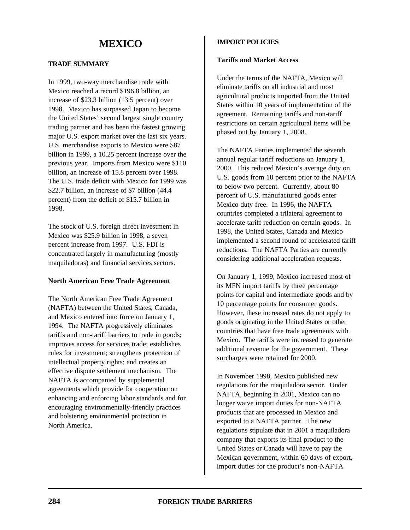# **TRADE SUMMARY**

In 1999, two-way merchandise trade with Mexico reached a record \$196.8 billion, an increase of \$23.3 billion (13.5 percent) over 1998. Mexico has surpassed Japan to become the United States' second largest single country trading partner and has been the fastest growing major U.S. export market over the last six years. U.S. merchandise exports to Mexico were \$87 billion in 1999, a 10.25 percent increase over the previous year. Imports from Mexico were \$110 billion, an increase of 15.8 percent over 1998. The U.S. trade deficit with Mexico for 1999 was \$22.7 billion, an increase of \$7 billion (44.4 percent) from the deficit of \$15.7 billion in 1998.

The stock of U.S. foreign direct investment in Mexico was \$25.9 billion in 1998, a seven percent increase from 1997. U.S. FDI is concentrated largely in manufacturing (mostly maquiladoras) and financial services sectors.

#### **North American Free Trade Agreement**

The North American Free Trade Agreement (NAFTA) between the United States, Canada, and Mexico entered into force on January 1, 1994. The NAFTA progressively eliminates tariffs and non-tariff barriers to trade in goods; improves access for services trade; establishes rules for investment; strengthens protection of intellectual property rights; and creates an effective dispute settlement mechanism. The NAFTA is accompanied by supplemental agreements which provide for cooperation on enhancing and enforcing labor standards and for encouraging environmentally-friendly practices and bolstering environmental protection in North America.

# **IMPORT POLICIES**

# **Tariffs and Market Access**

Under the terms of the NAFTA, Mexico will eliminate tariffs on all industrial and most agricultural products imported from the United States within 10 years of implementation of the agreement. Remaining tariffs and non-tariff restrictions on certain agricultural items will be phased out by January 1, 2008.

The NAFTA Parties implemented the seventh annual regular tariff reductions on January 1, 2000. This reduced Mexico's average duty on U.S. goods from 10 percent prior to the NAFTA to below two percent. Currently, about 80 percent of U.S. manufactured goods enter Mexico duty free. In 1996, the NAFTA countries completed a trilateral agreement to accelerate tariff reduction on certain goods. In 1998, the United States, Canada and Mexico implemented a second round of accelerated tariff reductions. The NAFTA Parties are currently considering additional acceleration requests.

On January 1, 1999, Mexico increased most of its MFN import tariffs by three percentage points for capital and intermediate goods and by 10 percentage points for consumer goods. However, these increased rates do not apply to goods originating in the United States or other countries that have free trade agreements with Mexico. The tariffs were increased to generate additional revenue for the government. These surcharges were retained for 2000.

In November 1998, Mexico published new regulations for the maquiladora sector. Under NAFTA, beginning in 2001, Mexico can no longer waive import duties for non-NAFTA products that are processed in Mexico and exported to a NAFTA partner. The new regulations stipulate that in 2001 a maquiladora company that exports its final product to the United States or Canada will have to pay the Mexican government, within 60 days of export, import duties for the product's non-NAFTA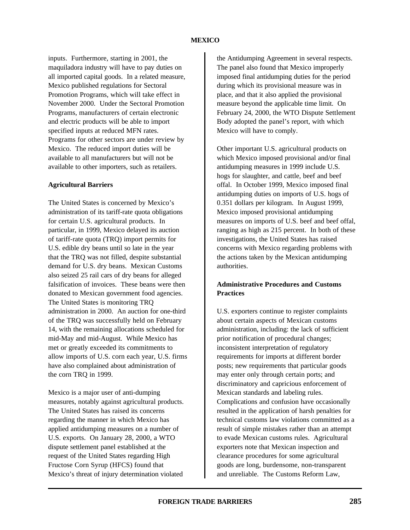inputs. Furthermore, starting in 2001, the maquiladora industry will have to pay duties on all imported capital goods. In a related measure, Mexico published regulations for Sectoral Promotion Programs, which will take effect in November 2000. Under the Sectoral Promotion Programs, manufacturers of certain electronic and electric products will be able to import specified inputs at reduced MFN rates. Programs for other sectors are under review by Mexico. The reduced import duties will be available to all manufacturers but will not be available to other importers, such as retailers.

#### **Agricultural Barriers**

The United States is concerned by Mexico's administration of its tariff-rate quota obligations for certain U.S. agricultural products. In particular, in 1999, Mexico delayed its auction of tariff-rate quota (TRQ) import permits for U.S. edible dry beans until so late in the year that the TRQ was not filled, despite substantial demand for U.S. dry beans. Mexican Customs also seized 25 rail cars of dry beans for alleged falsification of invoices. These beans were then donated to Mexican government food agencies. The United States is monitoring TRQ administration in 2000. An auction for one-third of the TRQ was successfully held on February 14, with the remaining allocations scheduled for mid-May and mid-August. While Mexico has met or greatly exceeded its commitments to allow imports of U.S. corn each year, U.S. firms have also complained about administration of the corn TRQ in 1999.

Mexico is a major user of anti-dumping measures, notably against agricultural products. The United States has raised its concerns regarding the manner in which Mexico has applied antidumping measures on a number of U.S. exports. On January 28, 2000, a WTO dispute settlement panel established at the request of the United States regarding High Fructose Corn Syrup (HFCS) found that Mexico's threat of injury determination violated

the Antidumping Agreement in several respects. The panel also found that Mexico improperly imposed final antidumping duties for the period during which its provisional measure was in place, and that it also applied the provisional measure beyond the applicable time limit. On February 24, 2000, the WTO Dispute Settlement Body adopted the panel's report, with which Mexico will have to comply.

Other important U.S. agricultural products on which Mexico imposed provisional and/or final antidumping measures in 1999 include U.S. hogs for slaughter, and cattle, beef and beef offal. In October 1999, Mexico imposed final antidumping duties on imports of U.S. hogs of 0.351 dollars per kilogram. In August 1999, Mexico imposed provisional antidumping measures on imports of U.S. beef and beef offal, ranging as high as 215 percent. In both of these investigations, the United States has raised concerns with Mexico regarding problems with the actions taken by the Mexican antidumping authorities.

# **Administrative Procedures and Customs Practices**

U.S. exporters continue to register complaints about certain aspects of Mexican customs administration, including: the lack of sufficient prior notification of procedural changes; inconsistent interpretation of regulatory requirements for imports at different border posts; new requirements that particular goods may enter only through certain ports; and discriminatory and capricious enforcement of Mexican standards and labeling rules. Complications and confusion have occasionally resulted in the application of harsh penalties for technical customs law violations committed as a result of simple mistakes rather than an attempt to evade Mexican customs rules. Agricultural exporters note that Mexican inspection and clearance procedures for some agricultural goods are long, burdensome, non-transparent and unreliable. The Customs Reform Law,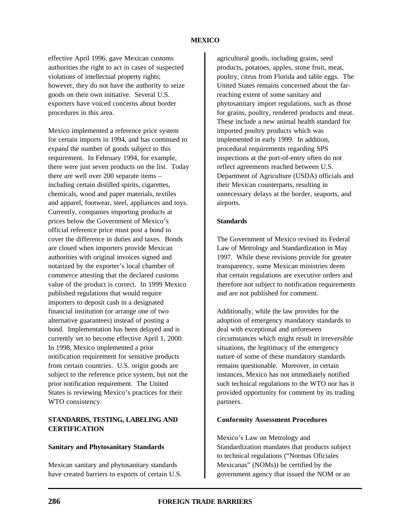effective April 1996, gave Mexican customs authorities the right to act in cases of suspected violations of intellectual property rights; however, they do not have the authority to seize goods on their own initiative. Several U.S. exporters have voiced concerns about border procedures in this area.

Mexico implemented a reference price system for certain imports in 1994, and has continued to expand the number of goods subject to this requirement. In February 1994, for example, there were just seven products on the list. Today there are well over 200 separate items – including certain distilled spirits, cigarettes, chemicals, wood and paper materials, textiles and apparel, footwear, steel, appliances and toys. Currently, companies importing products at prices below the Government of Mexico's official reference price must post a bond to cover the difference in duties and taxes. Bonds are closed when importers provide Mexican authorities with original invoices signed and notarized by the exporter's local chamber of commerce attesting that the declared customs value of the product is correct. In 1999 Mexico published regulations that would require importers to deposit cash in a designated financial institution (or arrange one of two alternative guarantees) instead of posting a bond. Implementation has been delayed and is currently set to become effective April 1, 2000. In 1998, Mexico implemented a prior notification requirement for sensitive products from certain countries. U.S. origin goods are subject to the reference price system, but not the prior notification requirement. The United States is reviewing Mexico's practices for their WTO consistency.

# **STANDARDS, TESTING, LABELING AND CERTIFICATION**

#### **Sanitary and Phytosanitary Standards**

Mexican sanitary and phytosanitary standards have created barriers to exports of certain U.S. agricultural goods, including grains, seed products, potatoes, apples, stone fruit, meat, poultry, citrus from Florida and table eggs. The United States remains concerned about the farreaching extent of some sanitary and phytosanitary import regulations, such as those for grains, poultry, rendered products and meat. These include a new animal health standard for imported poultry products which was implemented in early 1999. In addition, procedural requirements regarding SPS inspections at the port-of-entry often do not reflect agreements reached between U.S. Department of Agriculture (USDA) officials and their Mexican counterparts, resulting in unnecessary delays at the border, seaports, and airports.

#### **Standards**

The Government of Mexico revised its Federal Law of Metrology and Standardization in May 1997. While these revisions provide for greater transparency, some Mexican ministries deem that certain regulations are executive orders and therefore not subject to notification requirements and are not published for comment.

Additionally, while the law provides for the adoption of emergency mandatory standards to deal with exceptional and unforeseen circumstances which might result in irreversible situations, the legitimacy of the emergency nature of some of these mandatory standards remains questionable. Moreover, in certain instances, Mexico has not immediately notified such technical regulations to the WTO nor has it provided opportunity for comment by its trading partners.

#### **Conformity Assessment Procedures**

Mexico's Law on Metrology and Standardization mandates that products subject to technical regulations ("Normas Oficiales Mexicanas" (NOMs)) be certified by the government agency that issued the NOM or an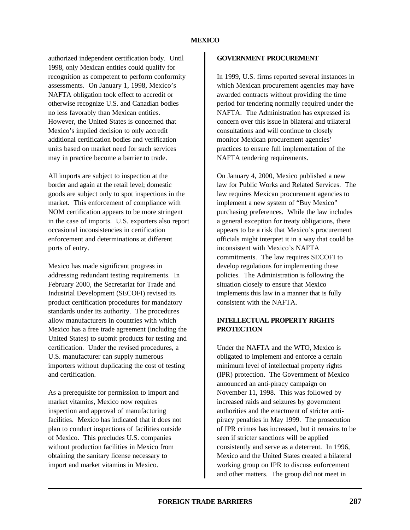authorized independent certification body. Until 1998, only Mexican entities could qualify for recognition as competent to perform conformity assessments. On January 1, 1998, Mexico's NAFTA obligation took effect to accredit or otherwise recognize U.S. and Canadian bodies no less favorably than Mexican entities. However, the United States is concerned that Mexico's implied decision to only accredit additional certification bodies and verification units based on market need for such services may in practice become a barrier to trade.

All imports are subject to inspection at the border and again at the retail level; domestic goods are subject only to spot inspections in the market. This enforcement of compliance with NOM certification appears to be more stringent in the case of imports. U.S. exporters also report occasional inconsistencies in certification enforcement and determinations at different ports of entry.

Mexico has made significant progress in addressing redundant testing requirements. In February 2000, the Secretariat for Trade and Industrial Development (SECOFI) revised its product certification procedures for mandatory standards under its authority. The procedures allow manufacturers in countries with which Mexico has a free trade agreement (including the United States) to submit products for testing and certification. Under the revised procedures, a U.S. manufacturer can supply numerous importers without duplicating the cost of testing and certification.

As a prerequisite for permission to import and market vitamins, Mexico now requires inspection and approval of manufacturing facilities. Mexico has indicated that it does not plan to conduct inspections of facilities outside of Mexico. This precludes U.S. companies without production facilities in Mexico from obtaining the sanitary license necessary to import and market vitamins in Mexico.

#### **GOVERNMENT PROCUREMENT**

In 1999, U.S. firms reported several instances in which Mexican procurement agencies may have awarded contracts without providing the time period for tendering normally required under the NAFTA. The Administration has expressed its concern over this issue in bilateral and trilateral consultations and will continue to closely monitor Mexican procurement agencies' practices to ensure full implementation of the NAFTA tendering requirements.

On January 4, 2000, Mexico published a new law for Public Works and Related Services. The law requires Mexican procurement agencies to implement a new system of "Buy Mexico" purchasing preferences. While the law includes a general exception for treaty obligations, there appears to be a risk that Mexico's procurement officials might interpret it in a way that could be inconsistent with Mexico's NAFTA commitments. The law requires SECOFI to develop regulations for implementing these policies. The Administration is following the situation closely to ensure that Mexico implements this law in a manner that is fully consistent with the NAFTA.

# **INTELLECTUAL PROPERTY RIGHTS PROTECTION**

Under the NAFTA and the WTO, Mexico is obligated to implement and enforce a certain minimum level of intellectual property rights (IPR) protection. The Government of Mexico announced an anti-piracy campaign on November 11, 1998. This was followed by increased raids and seizures by government authorities and the enactment of stricter antipiracy penalties in May 1999. The prosecution of IPR crimes has increased, but it remains to be seen if stricter sanctions will be applied consistently and serve as a deterrent. In 1996, Mexico and the United States created a bilateral working group on IPR to discuss enforcement and other matters. The group did not meet in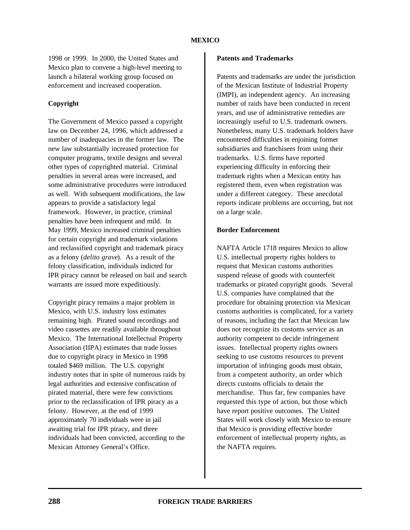1998 or 1999. In 2000, the United States and Mexico plan to convene a high-level meeting to launch a bilateral working group focused on enforcement and increased cooperation.

# **Copyright**

The Government of Mexico passed a copyright law on December 24, 1996, which addressed a number of inadequacies in the former law. The new law substantially increased protection for computer programs, textile designs and several other types of copyrighted material. Criminal penalties in several areas were increased, and some administrative procedures were introduced as well. With subsequent modifications, the law appears to provide a satisfactory legal framework. However, in practice, criminal penalties have been infrequent and mild. In May 1999, Mexico increased criminal penalties for certain copyright and trademark violations and reclassified copyright and trademark piracy as a felony (*delito grave*). As a result of the felony classification, individuals indicted for IPR piracy cannot be released on bail and search warrants are issued more expeditiously.

Copyright piracy remains a major problem in Mexico, with U.S. industry loss estimates remaining high. Pirated sound recordings and video cassettes are readily available throughout Mexico. The International Intellectual Property Association (IIPA) estimates that trade losses due to copyright piracy in Mexico in 1998 totaled \$469 million. The U.S. copyright industry notes that in spite of numerous raids by legal authorities and extensive confiscation of pirated material, there were few convictions prior to the reclassification of IPR piracy as a felony. However, at the end of 1999 approximately 70 individuals were in jail awaiting trial for IPR piracy, and three individuals had been convicted, according to the Mexican Attorney General's Office.

#### **Patents and Trademarks**

Patents and trademarks are under the jurisdiction of the Mexican Institute of Industrial Property (IMPI), an independent agency. An increasing number of raids have been conducted in recent years, and use of administrative remedies are increasingly useful to U.S. trademark owners. Nonetheless, many U.S. trademark holders have encountered difficulties in enjoining former subsidiaries and franchisees from using their trademarks. U.S. firms have reported experiencing difficulty in enforcing their trademark rights when a Mexican entity has registered them, even when registration was under a different category. These anecdotal reports indicate problems are occurring, but not on a large scale.

#### **Border Enforcement**

NAFTA Article 1718 requires Mexico to allow U.S. intellectual property rights holders to request that Mexican customs authorities suspend release of goods with counterfeit trademarks or pirated copyright goods. Several U.S. companies have complained that the procedure for obtaining protection via Mexican customs authorities is complicated, for a variety of reasons, including the fact that Mexican law does not recognize its customs service as an authority competent to decide infringement issues. Intellectual property rights owners seeking to use customs resources to prevent importation of infringing goods must obtain, from a competent authority, an order which directs customs officials to detain the merchandise. Thus far, few companies have requested this type of action, but those which have report positive outcomes. The United States will work closely with Mexico to ensure that Mexico is providing effective border enforcement of intellectual property rights, as the NAFTA requires.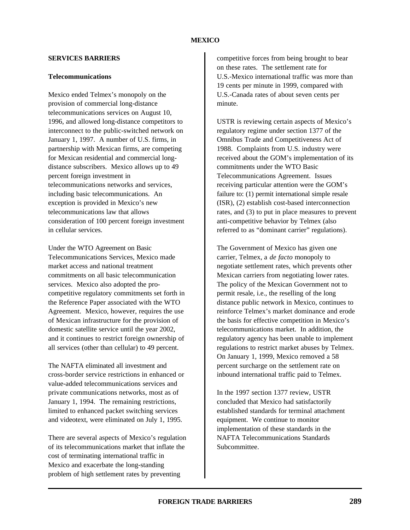## **SERVICES BARRIERS**

## **Telecommunications**

Mexico ended Telmex's monopoly on the provision of commercial long-distance telecommunications services on August 10, 1996, and allowed long-distance competitors to interconnect to the public-switched network on January 1, 1997. A number of U.S. firms, in partnership with Mexican firms, are competing for Mexican residential and commercial longdistance subscribers. Mexico allows up to 49 percent foreign investment in telecommunications networks and services, including basic telecommunications. An exception is provided in Mexico's new telecommunications law that allows consideration of 100 percent foreign investment in cellular services.

Under the WTO Agreement on Basic Telecommunications Services, Mexico made market access and national treatment commitments on all basic telecommunication services. Mexico also adopted the procompetitive regulatory commitments set forth in the Reference Paper associated with the WTO Agreement. Mexico, however, requires the use of Mexican infrastructure for the provision of domestic satellite service until the year 2002, and it continues to restrict foreign ownership of all services (other than cellular) to 49 percent.

The NAFTA eliminated all investment and cross-border service restrictions in enhanced or value-added telecommunications services and private communications networks, most as of January 1, 1994. The remaining restrictions, limited to enhanced packet switching services and videotext, were eliminated on July 1, 1995.

There are several aspects of Mexico's regulation of its telecommunications market that inflate the cost of terminating international traffic in Mexico and exacerbate the long-standing problem of high settlement rates by preventing

competitive forces from being brought to bear on these rates. The settlement rate for U.S.-Mexico international traffic was more than 19 cents per minute in 1999, compared with U.S.-Canada rates of about seven cents per minute.

USTR is reviewing certain aspects of Mexico's regulatory regime under section 1377 of the Omnibus Trade and Competitiveness Act of 1988. Complaints from U.S. industry were received about the GOM's implementation of its commitments under the WTO Basic Telecommunications Agreement. Issues receiving particular attention were the GOM's failure to: (1) permit international simple resale (ISR), (2) establish cost-based interconnection rates, and (3) to put in place measures to prevent anti-competitive behavior by Telmex (also referred to as "dominant carrier" regulations).

The Government of Mexico has given one carrier, Telmex, a *de facto* monopoly to negotiate settlement rates, which prevents other Mexican carriers from negotiating lower rates. The policy of the Mexican Government not to permit resale, i.e., the reselling of the long distance public network in Mexico, continues to reinforce Telmex's market dominance and erode the basis for effective competition in Mexico's telecommunications market. In addition, the regulatory agency has been unable to implement regulations to restrict market abuses by Telmex. On January 1, 1999, Mexico removed a 58 percent surcharge on the settlement rate on inbound international traffic paid to Telmex.

In the 1997 section 1377 review, USTR concluded that Mexico had satisfactorily established standards for terminal attachment equipment. We continue to monitor implementation of these standards in the NAFTA Telecommunications Standards Subcommittee.